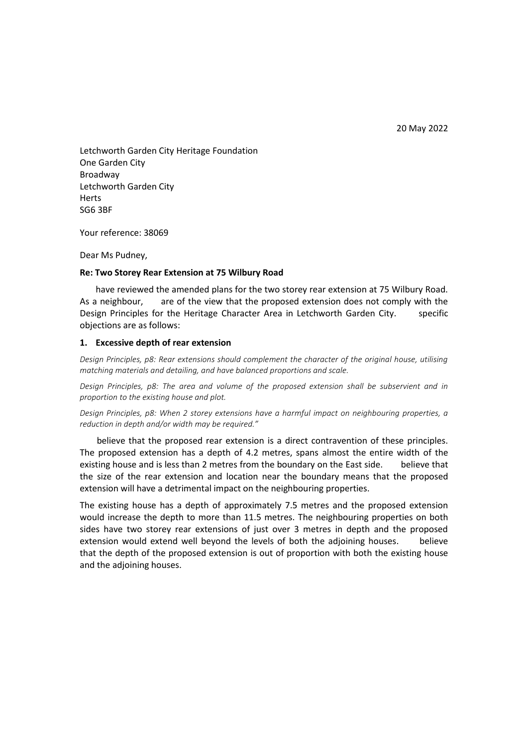20 May 2022

Letchworth Garden City Heritage Foundation One Garden City Broadway Letchworth Garden City Herts SG6 3BF

Your reference: 38069

Dear Ms Pudney,

## **Re: Two Storey Rear Extension at 75 Wilbury Road**

 have reviewed the amended plans for the two storey rear extension at 75 Wilbury Road. As a neighbour, are of the view that the proposed extension does not comply with the Design Principles for the Heritage Character Area in Letchworth Garden City. specific objections are as follows:

## **1. Excessive depth of rear extension**

*Design Principles, p8: Rear extensions should complement the character of the original house, utilising matching materials and detailing, and have balanced proportions and scale.*

*Design Principles, p8: The area and volume of the proposed extension shall be subservient and in proportion to the existing house and plot.*

*Design Principles, p8: When 2 storey extensions have a harmful impact on neighbouring properties, a reduction in depth and/or width may be required."*

 believe that the proposed rear extension is a direct contravention of these principles. The proposed extension has a depth of 4.2 metres, spans almost the entire width of the existing house and is less than 2 metres from the boundary on the East side. believe that the size of the rear extension and location near the boundary means that the proposed extension will have a detrimental impact on the neighbouring properties.

The existing house has a depth of approximately 7.5 metres and the proposed extension would increase the depth to more than 11.5 metres. The neighbouring properties on both sides have two storey rear extensions of just over 3 metres in depth and the proposed extension would extend well beyond the levels of both the adjoining houses. believe that the depth of the proposed extension is out of proportion with both the existing house and the adjoining houses.